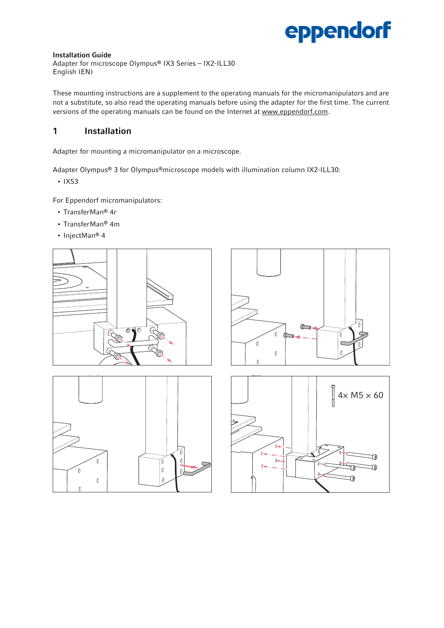# eppendorf

#### Installation Guide

Adapter for microscope Olympus® IX3 Series – IX2-ILL30 English (EN)

These mounting instructions are a supplement to the operating manuals for the micromanipulators and are not a substitute, so also read the operating manuals before using the adapter for the first time. The current versions of the operating manuals can be found on the Internet at www.eppendorf.com.

## 1 Installation

Adapter for mounting a micromanipulator on a microscope.

Adapter Olympus® 3 for Olympus®microscope models with illumination column IX2-ILL30:

• IX53

For Eppendorf micromanipulators:

- TransferMan® 4r
- TransferMan® 4m
- InjectMan® 4







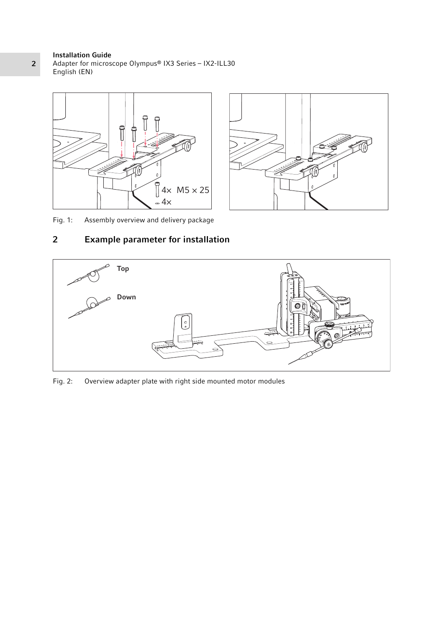#### Installation Guide

Adapter for microscope Olympus® IX3 Series – IX2-ILL30 English (EN)





Fig. 1: Assembly overview and delivery package

# 2 Example parameter for installation



Fig. 2: Overview adapter plate with right side mounted motor modules

### 2